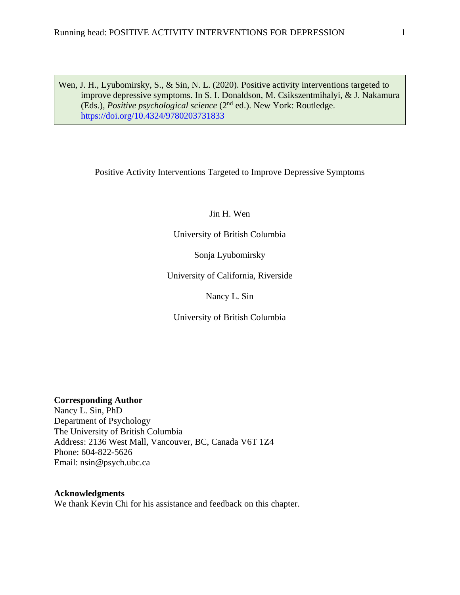Wen, J. H., Lyubomirsky, S., & Sin, N. L. (2020). Positive activity interventions targeted to improve depressive symptoms. In S. I. Donaldson, M. Csikszentmihalyi, & J. Nakamura (Eds.), *Positive psychological science* (2nd ed.). New York: Routledge. <https://doi.org/10.4324/9780203731833>

Positive Activity Interventions Targeted to Improve Depressive Symptoms

Jin H. Wen

University of British Columbia

Sonja Lyubomirsky

University of California, Riverside

Nancy L. Sin

University of British Columbia

**Corresponding Author**

Nancy L. Sin, PhD Department of Psychology The University of British Columbia Address: 2136 West Mall, Vancouver, BC, Canada V6T 1Z4 Phone: 604-822-5626 Email: nsin@psych.ubc.ca

**Acknowledgments**

We thank Kevin Chi for his assistance and feedback on this chapter.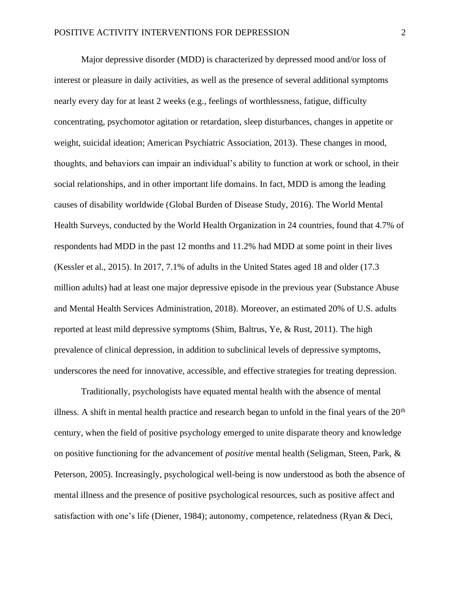Major depressive disorder (MDD) is characterized by depressed mood and/or loss of interest or pleasure in daily activities, as well as the presence of several additional symptoms nearly every day for at least 2 weeks (e.g., feelings of worthlessness, fatigue, difficulty concentrating, psychomotor agitation or retardation, sleep disturbances, changes in appetite or weight, suicidal ideation; American Psychiatric Association, 2013). These changes in mood, thoughts, and behaviors can impair an individual's ability to function at work or school, in their social relationships, and in other important life domains. In fact, MDD is among the leading causes of disability worldwide (Global Burden of Disease Study, 2016). The World Mental Health Surveys, conducted by the World Health Organization in 24 countries, found that 4.7% of respondents had MDD in the past 12 months and 11.2% had MDD at some point in their lives (Kessler et al., 2015). In 2017, 7.1% of adults in the United States aged 18 and older (17.3 million adults) had at least one major depressive episode in the previous year (Substance Abuse and Mental Health Services Administration, 2018). Moreover, an estimated 20% of U.S. adults reported at least mild depressive symptoms (Shim, Baltrus, Ye, & Rust, 2011). The high prevalence of clinical depression, in addition to subclinical levels of depressive symptoms, underscores the need for innovative, accessible, and effective strategies for treating depression.

Traditionally, psychologists have equated mental health with the absence of mental illness. A shift in mental health practice and research began to unfold in the final years of the  $20<sup>th</sup>$ century, when the field of positive psychology emerged to unite disparate theory and knowledge on positive functioning for the advancement of *positive* mental health (Seligman, Steen, Park, & Peterson, 2005). Increasingly, psychological well-being is now understood as both the absence of mental illness and the presence of positive psychological resources, such as positive affect and satisfaction with one's life (Diener, 1984); autonomy, competence, relatedness (Ryan & Deci,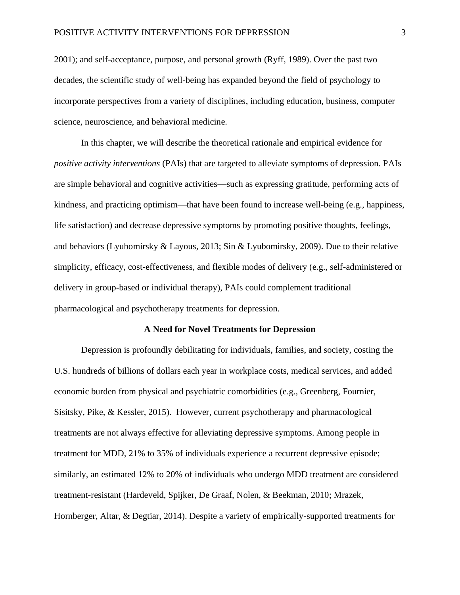2001); and self-acceptance, purpose, and personal growth (Ryff, 1989). Over the past two decades, the scientific study of well-being has expanded beyond the field of psychology to incorporate perspectives from a variety of disciplines, including education, business, computer science, neuroscience, and behavioral medicine.

In this chapter, we will describe the theoretical rationale and empirical evidence for *positive activity interventions* (PAIs) that are targeted to alleviate symptoms of depression. PAIs are simple behavioral and cognitive activities—such as expressing gratitude, performing acts of kindness, and practicing optimism—that have been found to increase well-being (e.g., happiness, life satisfaction) and decrease depressive symptoms by promoting positive thoughts, feelings, and behaviors (Lyubomirsky & Layous, 2013; Sin & Lyubomirsky, 2009). Due to their relative simplicity, efficacy, cost-effectiveness, and flexible modes of delivery (e.g., self-administered or delivery in group-based or individual therapy), PAIs could complement traditional pharmacological and psychotherapy treatments for depression.

#### **A Need for Novel Treatments for Depression**

Depression is profoundly debilitating for individuals, families, and society, costing the U.S. hundreds of billions of dollars each year in workplace costs, medical services, and added economic burden from physical and psychiatric comorbidities (e.g., Greenberg, Fournier, Sisitsky, Pike, & Kessler, 2015). However, current psychotherapy and pharmacological treatments are not always effective for alleviating depressive symptoms. Among people in treatment for MDD, 21% to 35% of individuals experience a recurrent depressive episode; similarly, an estimated 12% to 20% of individuals who undergo MDD treatment are considered treatment-resistant (Hardeveld, Spijker, De Graaf, Nolen, & Beekman, 2010; Mrazek, Hornberger, Altar, & Degtiar, 2014). Despite a variety of empirically-supported treatments for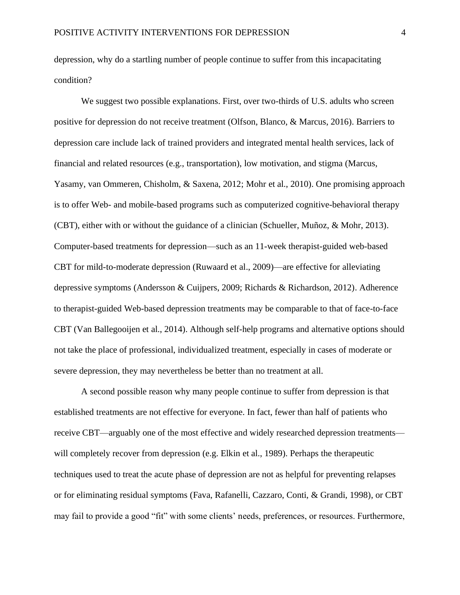depression, why do a startling number of people continue to suffer from this incapacitating condition?

We suggest two possible explanations. First, over two-thirds of U.S. adults who screen positive for depression do not receive treatment (Olfson, Blanco, & Marcus, 2016). Barriers to depression care include lack of trained providers and integrated mental health services, lack of financial and related resources (e.g., transportation), low motivation, and stigma (Marcus, Yasamy, van Ommeren, Chisholm, & Saxena, 2012; Mohr et al., 2010). One promising approach is to offer Web- and mobile-based programs such as computerized cognitive-behavioral therapy (CBT), either with or without the guidance of a clinician (Schueller, Muñoz, & Mohr, 2013). Computer-based treatments for depression—such as an 11-week therapist-guided web-based CBT for mild-to-moderate depression (Ruwaard et al., 2009)—are effective for alleviating depressive symptoms (Andersson & Cuijpers, 2009; Richards & Richardson, 2012). Adherence to therapist-guided Web-based depression treatments may be comparable to that of face-to-face CBT (Van Ballegooijen et al., 2014). Although self-help programs and alternative options should not take the place of professional, individualized treatment, especially in cases of moderate or severe depression, they may nevertheless be better than no treatment at all.

A second possible reason why many people continue to suffer from depression is that established treatments are not effective for everyone. In fact, fewer than half of patients who receive CBT—arguably one of the most effective and widely researched depression treatments will completely recover from depression (e.g. Elkin et al., 1989). Perhaps the therapeutic techniques used to treat the acute phase of depression are not as helpful for preventing relapses or for eliminating residual symptoms (Fava, Rafanelli, Cazzaro, Conti, & Grandi, 1998), or CBT may fail to provide a good "fit" with some clients' needs, preferences, or resources. Furthermore,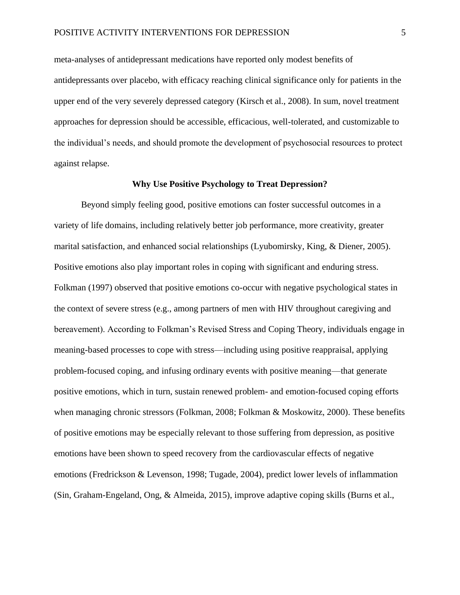meta-analyses of antidepressant medications have reported only modest benefits of antidepressants over placebo, with efficacy reaching clinical significance only for patients in the upper end of the very severely depressed category (Kirsch et al., 2008). In sum, novel treatment approaches for depression should be accessible, efficacious, well-tolerated, and customizable to the individual's needs, and should promote the development of psychosocial resources to protect against relapse.

# **Why Use Positive Psychology to Treat Depression?**

Beyond simply feeling good, positive emotions can foster successful outcomes in a variety of life domains, including relatively better job performance, more creativity, greater marital satisfaction, and enhanced social relationships (Lyubomirsky, King, & Diener, 2005). Positive emotions also play important roles in coping with significant and enduring stress. Folkman (1997) observed that positive emotions co-occur with negative psychological states in the context of severe stress (e.g., among partners of men with HIV throughout caregiving and bereavement). According to Folkman's Revised Stress and Coping Theory, individuals engage in meaning-based processes to cope with stress—including using positive reappraisal, applying problem-focused coping, and infusing ordinary events with positive meaning—that generate positive emotions, which in turn, sustain renewed problem- and emotion-focused coping efforts when managing chronic stressors (Folkman, 2008; Folkman & Moskowitz, 2000). These benefits of positive emotions may be especially relevant to those suffering from depression, as positive emotions have been shown to speed recovery from the cardiovascular effects of negative emotions (Fredrickson & Levenson, 1998; Tugade, 2004), predict lower levels of inflammation (Sin, Graham-Engeland, Ong, & Almeida, 2015), improve adaptive coping skills (Burns et al.,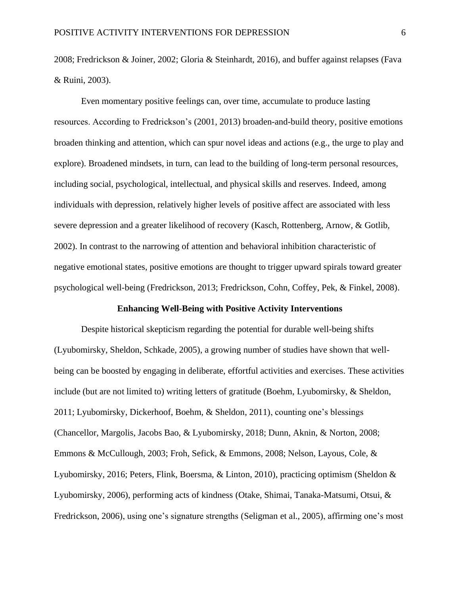2008; Fredrickson & Joiner, 2002; Gloria & Steinhardt, 2016), and buffer against relapses (Fava & Ruini, 2003).

Even momentary positive feelings can, over time, accumulate to produce lasting resources. According to Fredrickson's (2001, 2013) broaden-and-build theory, positive emotions broaden thinking and attention, which can spur novel ideas and actions (e.g., the urge to play and explore). Broadened mindsets, in turn, can lead to the building of long-term personal resources, including social, psychological, intellectual, and physical skills and reserves. Indeed, among individuals with depression, relatively higher levels of positive affect are associated with less severe depression and a greater likelihood of recovery (Kasch, Rottenberg, Arnow, & Gotlib, 2002). In contrast to the narrowing of attention and behavioral inhibition characteristic of negative emotional states, positive emotions are thought to trigger upward spirals toward greater psychological well-being (Fredrickson, 2013; Fredrickson, Cohn, Coffey, Pek, & Finkel, 2008).

#### **Enhancing Well-Being with Positive Activity Interventions**

Despite historical skepticism regarding the potential for durable well-being shifts (Lyubomirsky, Sheldon, Schkade, 2005), a growing number of studies have shown that wellbeing can be boosted by engaging in deliberate, effortful activities and exercises. These activities include (but are not limited to) writing letters of gratitude (Boehm, Lyubomirsky, & Sheldon, 2011; Lyubomirsky, Dickerhoof, Boehm, & Sheldon, 2011), counting one's blessings (Chancellor, Margolis, Jacobs Bao, & Lyubomirsky, 2018; Dunn, Aknin, & Norton, 2008; Emmons & McCullough, 2003; Froh, Sefick, & Emmons, 2008; Nelson, Layous, Cole, & Lyubomirsky, 2016; Peters, Flink, Boersma, & Linton, 2010), practicing optimism (Sheldon & Lyubomirsky, 2006), performing acts of kindness (Otake, Shimai, Tanaka-Matsumi, Otsui, & Fredrickson, 2006), using one's signature strengths (Seligman et al., 2005), affirming one's most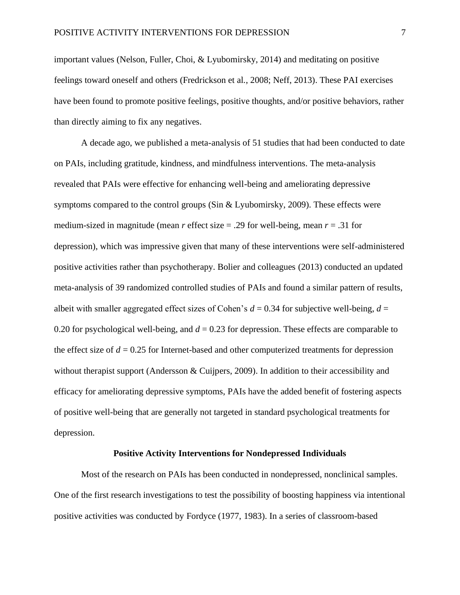important values (Nelson, Fuller, Choi, & Lyubomirsky, 2014) and meditating on positive feelings toward oneself and others (Fredrickson et al., 2008; Neff, 2013). These PAI exercises have been found to promote positive feelings, positive thoughts, and/or positive behaviors, rather than directly aiming to fix any negatives.

A decade ago, we published a meta-analysis of 51 studies that had been conducted to date on PAIs, including gratitude, kindness, and mindfulness interventions. The meta-analysis revealed that PAIs were effective for enhancing well-being and ameliorating depressive symptoms compared to the control groups (Sin & Lyubomirsky, 2009). These effects were medium-sized in magnitude (mean *r* effect size = .29 for well-being, mean *r* = .31 for depression), which was impressive given that many of these interventions were self-administered positive activities rather than psychotherapy. Bolier and colleagues (2013) conducted an updated meta-analysis of 39 randomized controlled studies of PAIs and found a similar pattern of results, albeit with smaller aggregated effect sizes of Cohen's  $d = 0.34$  for subjective well-being,  $d =$ 0.20 for psychological well-being, and  $d = 0.23$  for depression. These effects are comparable to the effect size of  $d = 0.25$  for Internet-based and other computerized treatments for depression without therapist support (Andersson & Cuijpers, 2009). In addition to their accessibility and efficacy for ameliorating depressive symptoms, PAIs have the added benefit of fostering aspects of positive well-being that are generally not targeted in standard psychological treatments for depression.

#### **Positive Activity Interventions for Nondepressed Individuals**

Most of the research on PAIs has been conducted in nondepressed, nonclinical samples. One of the first research investigations to test the possibility of boosting happiness via intentional positive activities was conducted by Fordyce (1977, 1983). In a series of classroom-based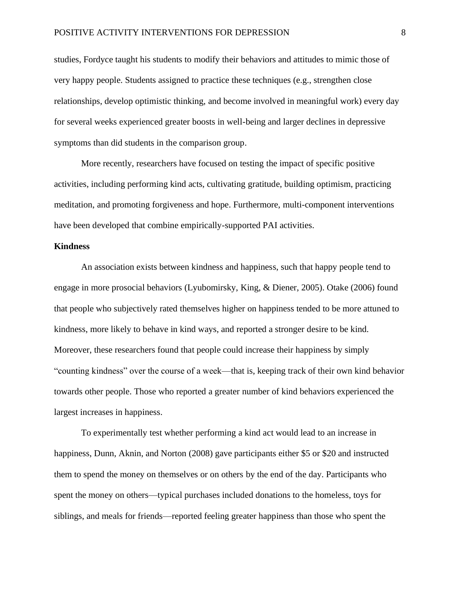studies, Fordyce taught his students to modify their behaviors and attitudes to mimic those of very happy people. Students assigned to practice these techniques (e.g., strengthen close relationships, develop optimistic thinking, and become involved in meaningful work) every day for several weeks experienced greater boosts in well-being and larger declines in depressive symptoms than did students in the comparison group.

More recently, researchers have focused on testing the impact of specific positive activities, including performing kind acts, cultivating gratitude, building optimism, practicing meditation, and promoting forgiveness and hope. Furthermore, multi-component interventions have been developed that combine empirically-supported PAI activities.

# **Kindness**

An association exists between kindness and happiness, such that happy people tend to engage in more prosocial behaviors (Lyubomirsky, King, & Diener, 2005). Otake (2006) found that people who subjectively rated themselves higher on happiness tended to be more attuned to kindness, more likely to behave in kind ways, and reported a stronger desire to be kind. Moreover, these researchers found that people could increase their happiness by simply "counting kindness" over the course of a week—that is, keeping track of their own kind behavior towards other people. Those who reported a greater number of kind behaviors experienced the largest increases in happiness.

To experimentally test whether performing a kind act would lead to an increase in happiness, Dunn, Aknin, and Norton (2008) gave participants either \$5 or \$20 and instructed them to spend the money on themselves or on others by the end of the day. Participants who spent the money on others—typical purchases included donations to the homeless, toys for siblings, and meals for friends—reported feeling greater happiness than those who spent the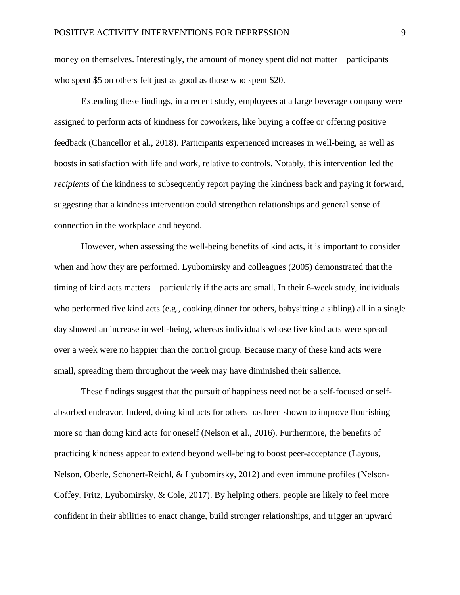money on themselves. Interestingly, the amount of money spent did not matter—participants who spent \$5 on others felt just as good as those who spent \$20.

Extending these findings, in a recent study, employees at a large beverage company were assigned to perform acts of kindness for coworkers, like buying a coffee or offering positive feedback (Chancellor et al., 2018). Participants experienced increases in well-being, as well as boosts in satisfaction with life and work, relative to controls. Notably, this intervention led the *recipients* of the kindness to subsequently report paying the kindness back and paying it forward, suggesting that a kindness intervention could strengthen relationships and general sense of connection in the workplace and beyond.

However, when assessing the well-being benefits of kind acts, it is important to consider when and how they are performed. Lyubomirsky and colleagues (2005) demonstrated that the timing of kind acts matters—particularly if the acts are small. In their 6-week study, individuals who performed five kind acts (e.g., cooking dinner for others, babysitting a sibling) all in a single day showed an increase in well-being, whereas individuals whose five kind acts were spread over a week were no happier than the control group. Because many of these kind acts were small, spreading them throughout the week may have diminished their salience.

These findings suggest that the pursuit of happiness need not be a self-focused or selfabsorbed endeavor. Indeed, doing kind acts for others has been shown to improve flourishing more so than doing kind acts for oneself (Nelson et al., 2016). Furthermore, the benefits of practicing kindness appear to extend beyond well-being to boost peer-acceptance (Layous, Nelson, Oberle, Schonert-Reichl, & Lyubomirsky, 2012) and even immune profiles (Nelson-Coffey, Fritz, Lyubomirsky, & Cole, 2017). By helping others, people are likely to feel more confident in their abilities to enact change, build stronger relationships, and trigger an upward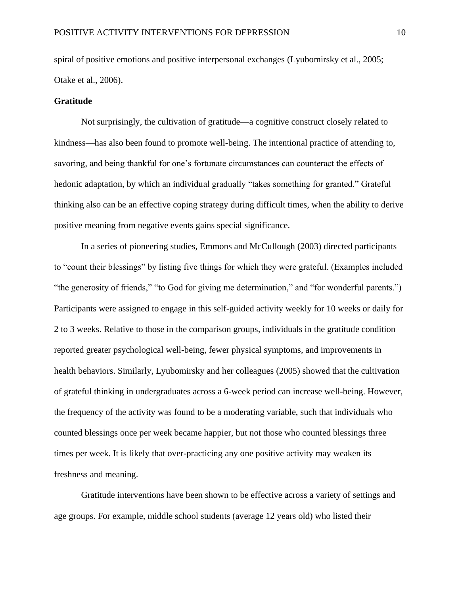spiral of positive emotions and positive interpersonal exchanges (Lyubomirsky et al., 2005; Otake et al., 2006).

## **Gratitude**

Not surprisingly, the cultivation of gratitude—a cognitive construct closely related to kindness—has also been found to promote well-being. The intentional practice of attending to, savoring, and being thankful for one's fortunate circumstances can counteract the effects of hedonic adaptation, by which an individual gradually "takes something for granted." Grateful thinking also can be an effective coping strategy during difficult times, when the ability to derive positive meaning from negative events gains special significance.

In a series of pioneering studies, Emmons and McCullough (2003) directed participants to "count their blessings" by listing five things for which they were grateful. (Examples included "the generosity of friends," "to God for giving me determination," and "for wonderful parents.") Participants were assigned to engage in this self-guided activity weekly for 10 weeks or daily for 2 to 3 weeks. Relative to those in the comparison groups, individuals in the gratitude condition reported greater psychological well-being, fewer physical symptoms, and improvements in health behaviors. Similarly, Lyubomirsky and her colleagues (2005) showed that the cultivation of grateful thinking in undergraduates across a 6-week period can increase well-being. However, the frequency of the activity was found to be a moderating variable, such that individuals who counted blessings once per week became happier, but not those who counted blessings three times per week. It is likely that over-practicing any one positive activity may weaken its freshness and meaning.

Gratitude interventions have been shown to be effective across a variety of settings and age groups. For example, middle school students (average 12 years old) who listed their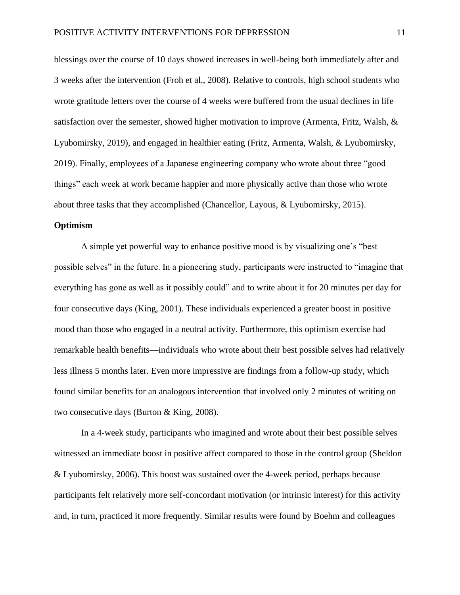blessings over the course of 10 days showed increases in well-being both immediately after and 3 weeks after the intervention (Froh et al., 2008). Relative to controls, high school students who wrote gratitude letters over the course of 4 weeks were buffered from the usual declines in life satisfaction over the semester, showed higher motivation to improve (Armenta, Fritz, Walsh, & Lyubomirsky, 2019), and engaged in healthier eating (Fritz, Armenta, Walsh, & Lyubomirsky, 2019). Finally, employees of a Japanese engineering company who wrote about three "good things" each week at work became happier and more physically active than those who wrote about three tasks that they accomplished (Chancellor, Layous, & Lyubomirsky, 2015).

# **Optimism**

A simple yet powerful way to enhance positive mood is by visualizing one's "best possible selves" in the future. In a pioneering study, participants were instructed to "imagine that everything has gone as well as it possibly could" and to write about it for 20 minutes per day for four consecutive days (King, 2001). These individuals experienced a greater boost in positive mood than those who engaged in a neutral activity. Furthermore, this optimism exercise had remarkable health benefits—individuals who wrote about their best possible selves had relatively less illness 5 months later. Even more impressive are findings from a follow-up study, which found similar benefits for an analogous intervention that involved only 2 minutes of writing on two consecutive days (Burton & King, 2008).

In a 4-week study, participants who imagined and wrote about their best possible selves witnessed an immediate boost in positive affect compared to those in the control group (Sheldon & Lyubomirsky, 2006). This boost was sustained over the 4-week period, perhaps because participants felt relatively more self-concordant motivation (or intrinsic interest) for this activity and, in turn, practiced it more frequently. Similar results were found by Boehm and colleagues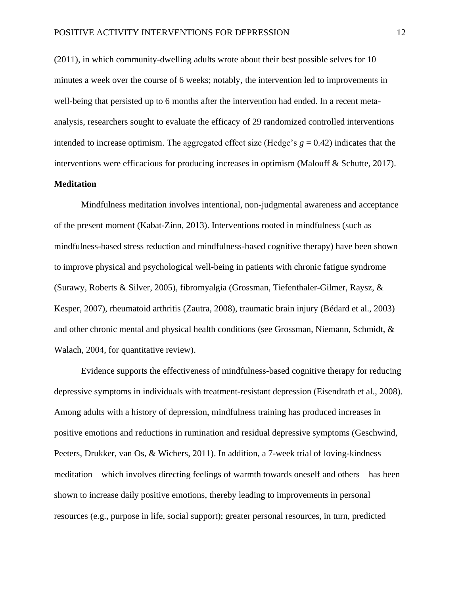(2011), in which community-dwelling adults wrote about their best possible selves for 10 minutes a week over the course of 6 weeks; notably, the intervention led to improvements in well-being that persisted up to 6 months after the intervention had ended. In a recent metaanalysis, researchers sought to evaluate the efficacy of 29 randomized controlled interventions intended to increase optimism. The aggregated effect size (Hedge's  $g = 0.42$ ) indicates that the interventions were efficacious for producing increases in optimism (Malouff & Schutte, 2017).

# **Meditation**

Mindfulness meditation involves intentional, non-judgmental awareness and acceptance of the present moment (Kabat-Zinn, 2013). Interventions rooted in mindfulness (such as mindfulness-based stress reduction and mindfulness-based cognitive therapy) have been shown to improve physical and psychological well-being in patients with chronic fatigue syndrome (Surawy, Roberts & Silver, 2005), fibromyalgia (Grossman, Tiefenthaler-Gilmer, Raysz, & Kesper, 2007), rheumatoid arthritis (Zautra, 2008), traumatic brain injury (Bédard et al., 2003) and other chronic mental and physical health conditions (see Grossman, Niemann, Schmidt, & Walach, 2004, for quantitative review).

Evidence supports the effectiveness of mindfulness-based cognitive therapy for reducing depressive symptoms in individuals with treatment-resistant depression (Eisendrath et al., 2008). Among adults with a history of depression, mindfulness training has produced increases in positive emotions and reductions in rumination and residual depressive symptoms (Geschwind, Peeters, Drukker, van Os, & Wichers, 2011). In addition, a 7-week trial of loving-kindness meditation—which involves directing feelings of warmth towards oneself and others—has been shown to increase daily positive emotions, thereby leading to improvements in personal resources (e.g., purpose in life, social support); greater personal resources, in turn, predicted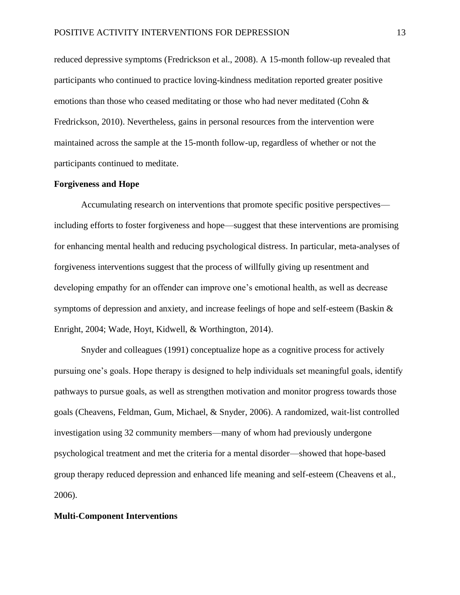reduced depressive symptoms (Fredrickson et al., 2008). A 15-month follow-up revealed that participants who continued to practice loving-kindness meditation reported greater positive emotions than those who ceased meditating or those who had never meditated (Cohn & Fredrickson, 2010). Nevertheless, gains in personal resources from the intervention were maintained across the sample at the 15-month follow-up, regardless of whether or not the participants continued to meditate.

# **Forgiveness and Hope**

Accumulating research on interventions that promote specific positive perspectives including efforts to foster forgiveness and hope—suggest that these interventions are promising for enhancing mental health and reducing psychological distress. In particular, meta-analyses of forgiveness interventions suggest that the process of willfully giving up resentment and developing empathy for an offender can improve one's emotional health, as well as decrease symptoms of depression and anxiety, and increase feelings of hope and self-esteem (Baskin & Enright, 2004; Wade, Hoyt, Kidwell, & Worthington, 2014).

Snyder and colleagues (1991) conceptualize hope as a cognitive process for actively pursuing one's goals. Hope therapy is designed to help individuals set meaningful goals, identify pathways to pursue goals, as well as strengthen motivation and monitor progress towards those goals (Cheavens, Feldman, Gum, Michael, & Snyder, 2006). A randomized, wait-list controlled investigation using 32 community members—many of whom had previously undergone psychological treatment and met the criteria for a mental disorder—showed that hope-based group therapy reduced depression and enhanced life meaning and self-esteem (Cheavens et al., 2006).

# **Multi-Component Interventions**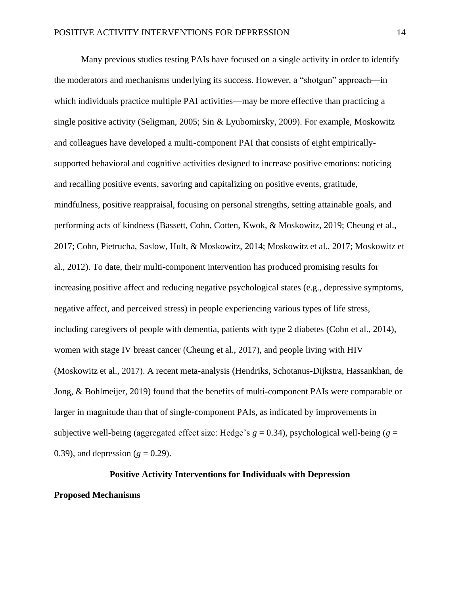Many previous studies testing PAIs have focused on a single activity in order to identify the moderators and mechanisms underlying its success. However, a "shotgun" approach—in which individuals practice multiple PAI activities—may be more effective than practicing a single positive activity (Seligman, 2005; Sin & Lyubomirsky, 2009). For example, Moskowitz and colleagues have developed a multi-component PAI that consists of eight empiricallysupported behavioral and cognitive activities designed to increase positive emotions: noticing and recalling positive events, savoring and capitalizing on positive events, gratitude, mindfulness, positive reappraisal, focusing on personal strengths, setting attainable goals, and performing acts of kindness (Bassett, Cohn, Cotten, Kwok, & Moskowitz, 2019; Cheung et al., 2017; Cohn, Pietrucha, Saslow, Hult, & Moskowitz, 2014; Moskowitz et al., 2017; Moskowitz et al., 2012). To date, their multi-component intervention has produced promising results for increasing positive affect and reducing negative psychological states (e.g., depressive symptoms, negative affect, and perceived stress) in people experiencing various types of life stress, including caregivers of people with dementia, patients with type 2 diabetes (Cohn et al., 2014), women with stage IV breast cancer (Cheung et al., 2017), and people living with HIV (Moskowitz et al., 2017). A recent meta-analysis (Hendriks, Schotanus-Dijkstra, Hassankhan, de Jong, & Bohlmeijer, 2019) found that the benefits of multi-component PAIs were comparable or larger in magnitude than that of single-component PAIs, as indicated by improvements in subjective well-being (aggregated effect size: Hedge's  $g = 0.34$ ), psychological well-being ( $g =$ 0.39), and depression  $(g = 0.29)$ .

# **Positive Activity Interventions for Individuals with Depression**

# **Proposed Mechanisms**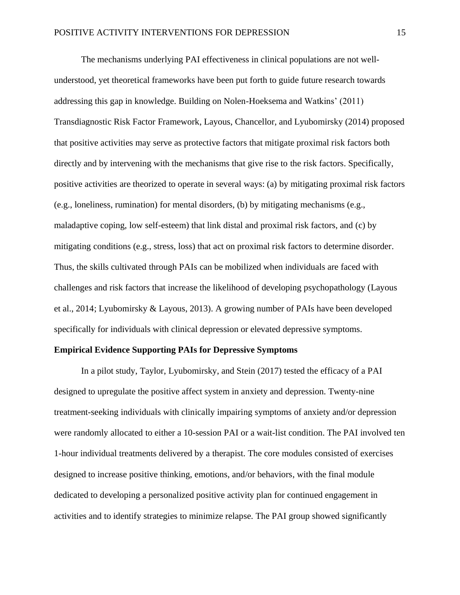The mechanisms underlying PAI effectiveness in clinical populations are not wellunderstood, yet theoretical frameworks have been put forth to guide future research towards addressing this gap in knowledge. Building on Nolen-Hoeksema and Watkins' (2011) Transdiagnostic Risk Factor Framework, Layous, Chancellor, and Lyubomirsky (2014) proposed that positive activities may serve as protective factors that mitigate proximal risk factors both directly and by intervening with the mechanisms that give rise to the risk factors. Specifically, positive activities are theorized to operate in several ways: (a) by mitigating proximal risk factors (e.g., loneliness, rumination) for mental disorders, (b) by mitigating mechanisms (e.g., maladaptive coping, low self-esteem) that link distal and proximal risk factors, and (c) by mitigating conditions (e.g., stress, loss) that act on proximal risk factors to determine disorder. Thus, the skills cultivated through PAIs can be mobilized when individuals are faced with challenges and risk factors that increase the likelihood of developing psychopathology (Layous et al., 2014; Lyubomirsky & Layous, 2013). A growing number of PAIs have been developed specifically for individuals with clinical depression or elevated depressive symptoms.

# **Empirical Evidence Supporting PAIs for Depressive Symptoms**

In a pilot study, Taylor, Lyubomirsky, and Stein (2017) tested the efficacy of a PAI designed to upregulate the positive affect system in anxiety and depression. Twenty-nine treatment-seeking individuals with clinically impairing symptoms of anxiety and/or depression were randomly allocated to either a 10-session PAI or a wait-list condition. The PAI involved ten 1-hour individual treatments delivered by a therapist. The core modules consisted of exercises designed to increase positive thinking, emotions, and/or behaviors, with the final module dedicated to developing a personalized positive activity plan for continued engagement in activities and to identify strategies to minimize relapse. The PAI group showed significantly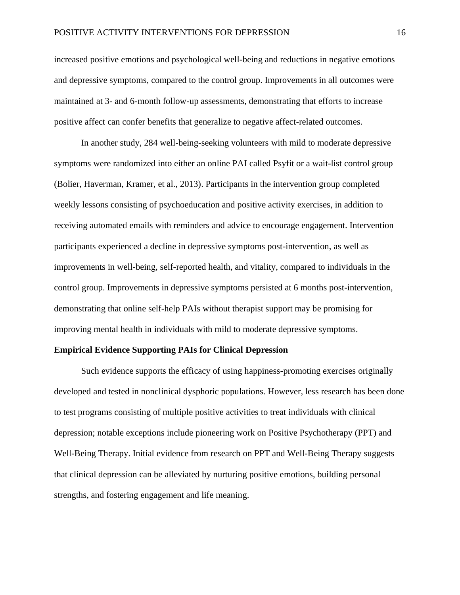increased positive emotions and psychological well-being and reductions in negative emotions and depressive symptoms, compared to the control group. Improvements in all outcomes were maintained at 3- and 6-month follow-up assessments, demonstrating that efforts to increase positive affect can confer benefits that generalize to negative affect-related outcomes.

In another study, 284 well-being-seeking volunteers with mild to moderate depressive symptoms were randomized into either an online PAI called Psyfit or a wait-list control group (Bolier, Haverman, Kramer, et al., 2013). Participants in the intervention group completed weekly lessons consisting of psychoeducation and positive activity exercises, in addition to receiving automated emails with reminders and advice to encourage engagement. Intervention participants experienced a decline in depressive symptoms post-intervention, as well as improvements in well-being, self-reported health, and vitality, compared to individuals in the control group. Improvements in depressive symptoms persisted at 6 months post-intervention, demonstrating that online self-help PAIs without therapist support may be promising for improving mental health in individuals with mild to moderate depressive symptoms.

#### **Empirical Evidence Supporting PAIs for Clinical Depression**

Such evidence supports the efficacy of using happiness-promoting exercises originally developed and tested in nonclinical dysphoric populations. However, less research has been done to test programs consisting of multiple positive activities to treat individuals with clinical depression; notable exceptions include pioneering work on Positive Psychotherapy (PPT) and Well-Being Therapy. Initial evidence from research on PPT and Well-Being Therapy suggests that clinical depression can be alleviated by nurturing positive emotions, building personal strengths, and fostering engagement and life meaning.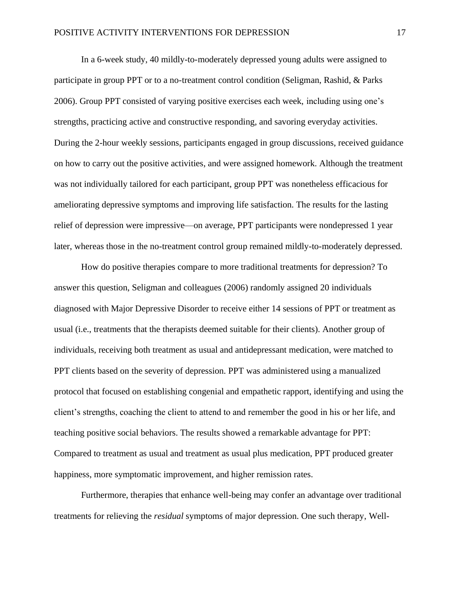In a 6-week study, 40 mildly-to-moderately depressed young adults were assigned to participate in group PPT or to a no-treatment control condition (Seligman, Rashid, & Parks 2006). Group PPT consisted of varying positive exercises each week, including using one's strengths, practicing active and constructive responding, and savoring everyday activities. During the 2-hour weekly sessions, participants engaged in group discussions, received guidance on how to carry out the positive activities, and were assigned homework. Although the treatment was not individually tailored for each participant, group PPT was nonetheless efficacious for ameliorating depressive symptoms and improving life satisfaction. The results for the lasting relief of depression were impressive—on average, PPT participants were nondepressed 1 year later, whereas those in the no-treatment control group remained mildly-to-moderately depressed.

How do positive therapies compare to more traditional treatments for depression? To answer this question, Seligman and colleagues (2006) randomly assigned 20 individuals diagnosed with Major Depressive Disorder to receive either 14 sessions of PPT or treatment as usual (i.e., treatments that the therapists deemed suitable for their clients). Another group of individuals, receiving both treatment as usual and antidepressant medication, were matched to PPT clients based on the severity of depression. PPT was administered using a manualized protocol that focused on establishing congenial and empathetic rapport, identifying and using the client's strengths, coaching the client to attend to and remember the good in his or her life, and teaching positive social behaviors. The results showed a remarkable advantage for PPT: Compared to treatment as usual and treatment as usual plus medication, PPT produced greater happiness, more symptomatic improvement, and higher remission rates.

Furthermore, therapies that enhance well-being may confer an advantage over traditional treatments for relieving the *residual* symptoms of major depression. One such therapy, Well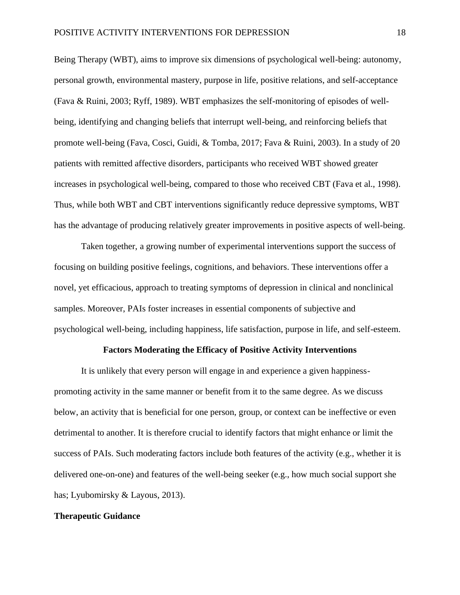Being Therapy (WBT), aims to improve six dimensions of psychological well-being: autonomy, personal growth, environmental mastery, purpose in life, positive relations, and self-acceptance (Fava & Ruini, 2003; Ryff, 1989). WBT emphasizes the self-monitoring of episodes of wellbeing, identifying and changing beliefs that interrupt well-being, and reinforcing beliefs that promote well-being (Fava, Cosci, Guidi, & Tomba, 2017; Fava & Ruini, 2003). In a study of 20 patients with remitted affective disorders, participants who received WBT showed greater increases in psychological well-being, compared to those who received CBT (Fava et al., 1998). Thus, while both WBT and CBT interventions significantly reduce depressive symptoms, WBT has the advantage of producing relatively greater improvements in positive aspects of well-being.

Taken together, a growing number of experimental interventions support the success of focusing on building positive feelings, cognitions, and behaviors. These interventions offer a novel, yet efficacious, approach to treating symptoms of depression in clinical and nonclinical samples. Moreover, PAIs foster increases in essential components of subjective and psychological well-being, including happiness, life satisfaction, purpose in life, and self-esteem.

#### **Factors Moderating the Efficacy of Positive Activity Interventions**

It is unlikely that every person will engage in and experience a given happinesspromoting activity in the same manner or benefit from it to the same degree. As we discuss below, an activity that is beneficial for one person, group, or context can be ineffective or even detrimental to another. It is therefore crucial to identify factors that might enhance or limit the success of PAIs. Such moderating factors include both features of the activity (e.g., whether it is delivered one-on-one) and features of the well-being seeker (e.g., how much social support she has; Lyubomirsky & Layous, 2013).

# **Therapeutic Guidance**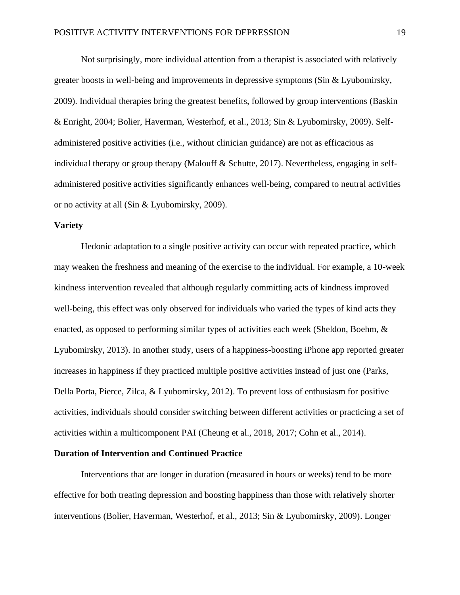Not surprisingly, more individual attention from a therapist is associated with relatively greater boosts in well-being and improvements in depressive symptoms (Sin & Lyubomirsky, 2009). Individual therapies bring the greatest benefits, followed by group interventions (Baskin & Enright, 2004; Bolier, Haverman, Westerhof, et al., 2013; Sin & Lyubomirsky, 2009). Selfadministered positive activities (i.e., without clinician guidance) are not as efficacious as individual therapy or group therapy (Malouff & Schutte, 2017). Nevertheless, engaging in selfadministered positive activities significantly enhances well-being, compared to neutral activities or no activity at all (Sin & Lyubomirsky, 2009).

# **Variety**

Hedonic adaptation to a single positive activity can occur with repeated practice, which may weaken the freshness and meaning of the exercise to the individual. For example, a 10-week kindness intervention revealed that although regularly committing acts of kindness improved well-being, this effect was only observed for individuals who varied the types of kind acts they enacted, as opposed to performing similar types of activities each week (Sheldon, Boehm, & Lyubomirsky, 2013). In another study, users of a happiness-boosting iPhone app reported greater increases in happiness if they practiced multiple positive activities instead of just one (Parks, Della Porta, Pierce, Zilca, & Lyubomirsky, 2012). To prevent loss of enthusiasm for positive activities, individuals should consider switching between different activities or practicing a set of activities within a multicomponent PAI (Cheung et al., 2018, 2017; Cohn et al., 2014).

# **Duration of Intervention and Continued Practice**

Interventions that are longer in duration (measured in hours or weeks) tend to be more effective for both treating depression and boosting happiness than those with relatively shorter interventions (Bolier, Haverman, Westerhof, et al., 2013; Sin & Lyubomirsky, 2009). Longer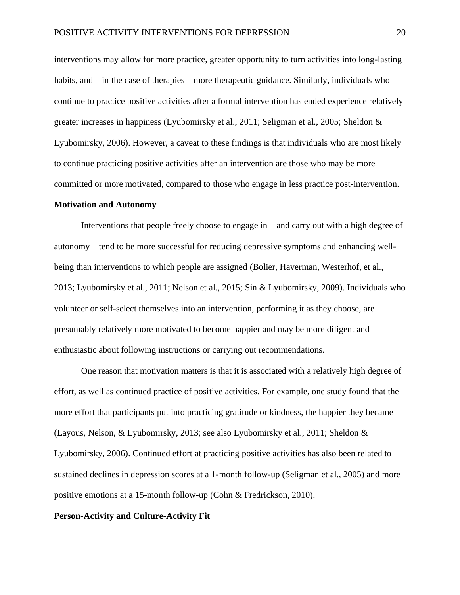interventions may allow for more practice, greater opportunity to turn activities into long-lasting habits, and—in the case of therapies—more therapeutic guidance. Similarly, individuals who continue to practice positive activities after a formal intervention has ended experience relatively greater increases in happiness (Lyubomirsky et al., 2011; Seligman et al., 2005; Sheldon & Lyubomirsky, 2006). However, a caveat to these findings is that individuals who are most likely to continue practicing positive activities after an intervention are those who may be more committed or more motivated, compared to those who engage in less practice post-intervention.

#### **Motivation and Autonomy**

Interventions that people freely choose to engage in—and carry out with a high degree of autonomy—tend to be more successful for reducing depressive symptoms and enhancing wellbeing than interventions to which people are assigned (Bolier, Haverman, Westerhof, et al., 2013; Lyubomirsky et al., 2011; Nelson et al., 2015; Sin & Lyubomirsky, 2009). Individuals who volunteer or self-select themselves into an intervention, performing it as they choose, are presumably relatively more motivated to become happier and may be more diligent and enthusiastic about following instructions or carrying out recommendations.

One reason that motivation matters is that it is associated with a relatively high degree of effort, as well as continued practice of positive activities. For example, one study found that the more effort that participants put into practicing gratitude or kindness, the happier they became (Layous, Nelson, & Lyubomirsky, 2013; see also Lyubomirsky et al., 2011; Sheldon & Lyubomirsky, 2006). Continued effort at practicing positive activities has also been related to sustained declines in depression scores at a 1-month follow-up (Seligman et al., 2005) and more positive emotions at a 15-month follow-up (Cohn & Fredrickson, 2010).

# **Person-Activity and Culture-Activity Fit**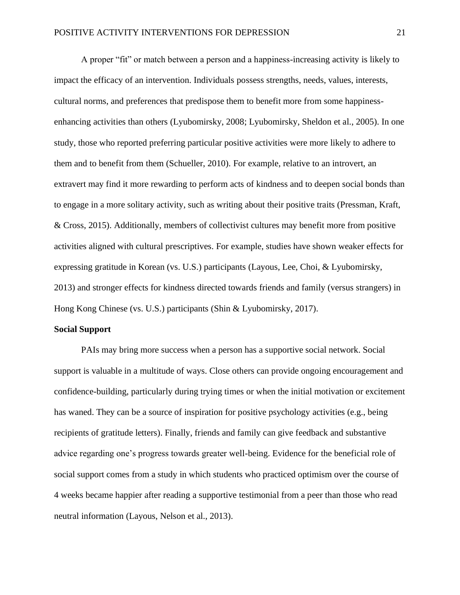A proper "fit" or match between a person and a happiness-increasing activity is likely to impact the efficacy of an intervention. Individuals possess strengths, needs, values, interests, cultural norms, and preferences that predispose them to benefit more from some happinessenhancing activities than others (Lyubomirsky, 2008; Lyubomirsky, Sheldon et al., 2005). In one study, those who reported preferring particular positive activities were more likely to adhere to them and to benefit from them (Schueller, 2010). For example, relative to an introvert, an extravert may find it more rewarding to perform acts of kindness and to deepen social bonds than to engage in a more solitary activity, such as writing about their positive traits (Pressman, Kraft, & Cross, 2015). Additionally, members of collectivist cultures may benefit more from positive activities aligned with cultural prescriptives. For example, studies have shown weaker effects for expressing gratitude in Korean (vs. U.S.) participants (Layous, Lee, Choi, & Lyubomirsky, 2013) and stronger effects for kindness directed towards friends and family (versus strangers) in Hong Kong Chinese (vs. U.S.) participants (Shin & Lyubomirsky, 2017).

# **Social Support**

PAIs may bring more success when a person has a supportive social network. Social support is valuable in a multitude of ways. Close others can provide ongoing encouragement and confidence-building, particularly during trying times or when the initial motivation or excitement has waned. They can be a source of inspiration for positive psychology activities (e.g., being recipients of gratitude letters). Finally, friends and family can give feedback and substantive advice regarding one's progress towards greater well-being. Evidence for the beneficial role of social support comes from a study in which students who practiced optimism over the course of 4 weeks became happier after reading a supportive testimonial from a peer than those who read neutral information (Layous, Nelson et al., 2013).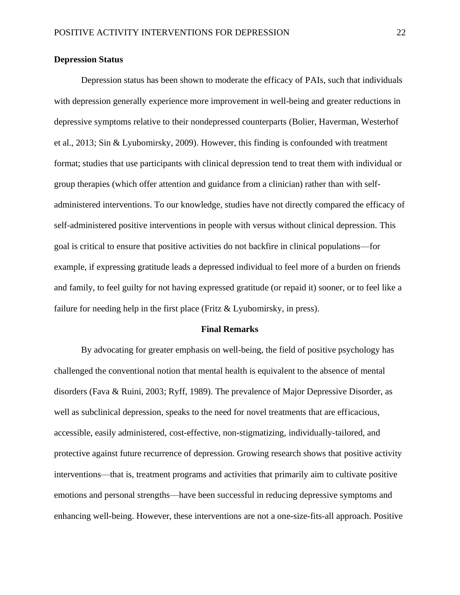# **Depression Status**

Depression status has been shown to moderate the efficacy of PAIs, such that individuals with depression generally experience more improvement in well-being and greater reductions in depressive symptoms relative to their nondepressed counterparts (Bolier, Haverman, Westerhof et al., 2013; Sin & Lyubomirsky, 2009). However, this finding is confounded with treatment format; studies that use participants with clinical depression tend to treat them with individual or group therapies (which offer attention and guidance from a clinician) rather than with selfadministered interventions. To our knowledge, studies have not directly compared the efficacy of self-administered positive interventions in people with versus without clinical depression. This goal is critical to ensure that positive activities do not backfire in clinical populations—for example, if expressing gratitude leads a depressed individual to feel more of a burden on friends and family, to feel guilty for not having expressed gratitude (or repaid it) sooner, or to feel like a failure for needing help in the first place (Fritz & Lyubomirsky, in press).

#### **Final Remarks**

By advocating for greater emphasis on well-being, the field of positive psychology has challenged the conventional notion that mental health is equivalent to the absence of mental disorders (Fava & Ruini, 2003; Ryff, 1989). The prevalence of Major Depressive Disorder, as well as subclinical depression, speaks to the need for novel treatments that are efficacious, accessible, easily administered, cost-effective, non-stigmatizing, individually-tailored, and protective against future recurrence of depression. Growing research shows that positive activity interventions—that is, treatment programs and activities that primarily aim to cultivate positive emotions and personal strengths—have been successful in reducing depressive symptoms and enhancing well-being. However, these interventions are not a one-size-fits-all approach. Positive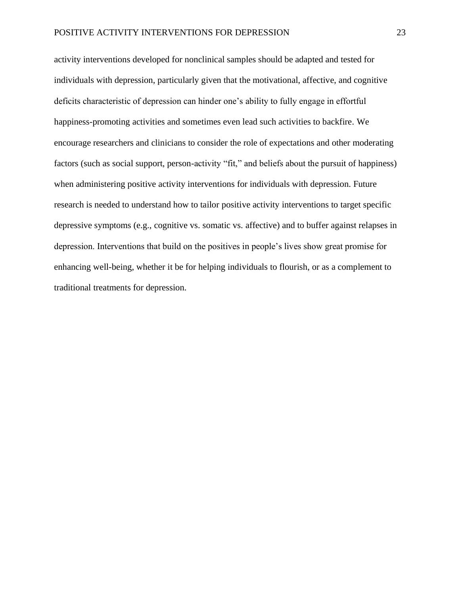activity interventions developed for nonclinical samples should be adapted and tested for individuals with depression, particularly given that the motivational, affective, and cognitive deficits characteristic of depression can hinder one's ability to fully engage in effortful happiness-promoting activities and sometimes even lead such activities to backfire. We encourage researchers and clinicians to consider the role of expectations and other moderating factors (such as social support, person-activity "fit," and beliefs about the pursuit of happiness) when administering positive activity interventions for individuals with depression. Future research is needed to understand how to tailor positive activity interventions to target specific depressive symptoms (e.g., cognitive vs. somatic vs. affective) and to buffer against relapses in depression. Interventions that build on the positives in people's lives show great promise for enhancing well-being, whether it be for helping individuals to flourish, or as a complement to traditional treatments for depression.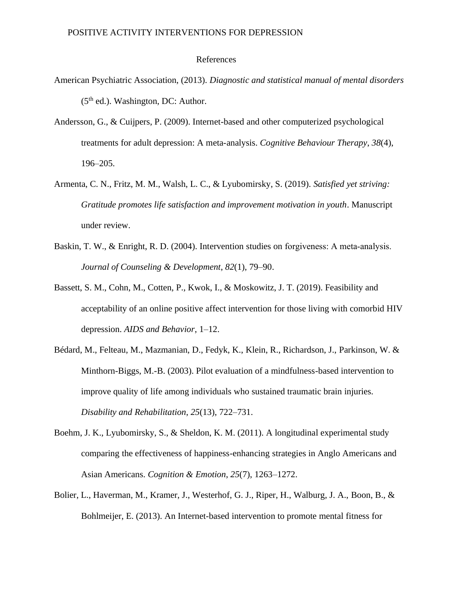# POSITIVE ACTIVITY INTERVENTIONS FOR DEPRESSION

# References

- American Psychiatric Association, (2013). *Diagnostic and statistical manual of mental disorders*   $(5<sup>th</sup>$  ed.). Washington, DC: Author.
- Andersson, G., & Cuijpers, P. (2009). Internet-based and other computerized psychological treatments for adult depression: A meta-analysis. *Cognitive Behaviour Therapy*, *38*(4), 196–205.
- Armenta, C. N., Fritz, M. M., Walsh, L. C., & Lyubomirsky, S. (2019). *Satisfied yet striving: Gratitude promotes life satisfaction and improvement motivation in youth*. Manuscript under review.
- Baskin, T. W., & Enright, R. D. (2004). Intervention studies on forgiveness: A meta-analysis. *Journal of Counseling & Development*, *82*(1), 79–90.
- Bassett, S. M., Cohn, M., Cotten, P., Kwok, I., & Moskowitz, J. T. (2019). Feasibility and acceptability of an online positive affect intervention for those living with comorbid HIV depression. *AIDS and Behavior*, 1–12.
- Bédard, M., Felteau, M., Mazmanian, D., Fedyk, K., Klein, R., Richardson, J., Parkinson, W. & Minthorn-Biggs, M.-B. (2003). Pilot evaluation of a mindfulness-based intervention to improve quality of life among individuals who sustained traumatic brain injuries. *Disability and Rehabilitation*, *25*(13), 722–731.
- Boehm, J. K., Lyubomirsky, S., & Sheldon, K. M. (2011). A longitudinal experimental study comparing the effectiveness of happiness-enhancing strategies in Anglo Americans and Asian Americans. *Cognition & Emotion*, *25*(7), 1263–1272.
- Bolier, L., Haverman, M., Kramer, J., Westerhof, G. J., Riper, H., Walburg, J. A., Boon, B., & Bohlmeijer, E. (2013). An Internet-based intervention to promote mental fitness for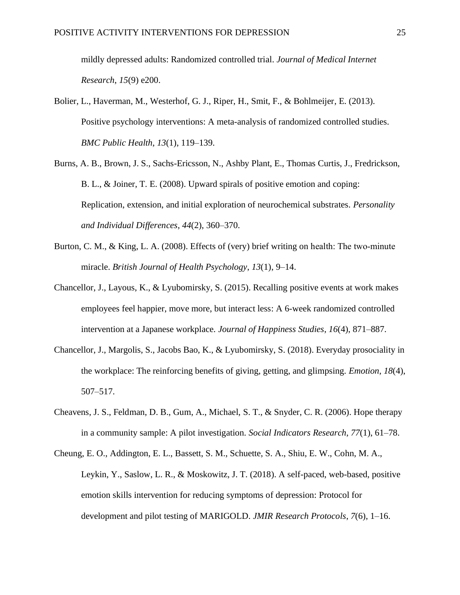mildly depressed adults: Randomized controlled trial. *Journal of Medical Internet Research*, *15*(9) e200.

- Bolier, L., Haverman, M., Westerhof, G. J., Riper, H., Smit, F., & Bohlmeijer, E. (2013). Positive psychology interventions: A meta-analysis of randomized controlled studies. *BMC Public Health*, *13*(1), 119–139.
- Burns, A. B., Brown, J. S., Sachs-Ericsson, N., Ashby Plant, E., Thomas Curtis, J., Fredrickson, B. L., & Joiner, T. E. (2008). Upward spirals of positive emotion and coping: Replication, extension, and initial exploration of neurochemical substrates. *Personality and Individual Differences*, *44*(2), 360–370.
- Burton, C. M., & King, L. A. (2008). Effects of (very) brief writing on health: The two-minute miracle. *British Journal of Health Psychology*, *13*(1), 9–14.
- Chancellor, J., Layous, K., & Lyubomirsky, S. (2015). Recalling positive events at work makes employees feel happier, move more, but interact less: A 6-week randomized controlled intervention at a Japanese workplace. *Journal of Happiness Studies*, *16*(4), 871–887.
- Chancellor, J., Margolis, S., Jacobs Bao, K., & Lyubomirsky, S. (2018). Everyday prosociality in the workplace: The reinforcing benefits of giving, getting, and glimpsing. *Emotion*, *18*(4), 507–517.
- Cheavens, J. S., Feldman, D. B., Gum, A., Michael, S. T., & Snyder, C. R. (2006). Hope therapy in a community sample: A pilot investigation. *Social Indicators Research*, *77*(1), 61–78.
- Cheung, E. O., Addington, E. L., Bassett, S. M., Schuette, S. A., Shiu, E. W., Cohn, M. A., Leykin, Y., Saslow, L. R., & Moskowitz, J. T. (2018). A self-paced, web-based, positive emotion skills intervention for reducing symptoms of depression: Protocol for development and pilot testing of MARIGOLD. *JMIR Research Protocols*, *7*(6), 1–16.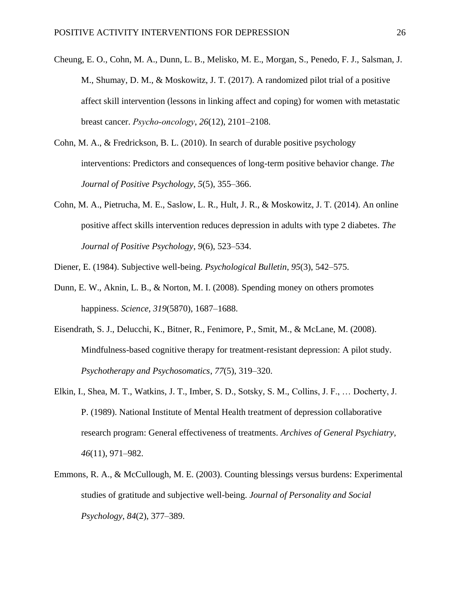- Cheung, E. O., Cohn, M. A., Dunn, L. B., Melisko, M. E., Morgan, S., Penedo, F. J., Salsman, J. M., Shumay, D. M., & Moskowitz, J. T. (2017). A randomized pilot trial of a positive affect skill intervention (lessons in linking affect and coping) for women with metastatic breast cancer. *Psycho‐oncology*, *26*(12), 2101–2108.
- Cohn, M. A., & Fredrickson, B. L. (2010). In search of durable positive psychology interventions: Predictors and consequences of long-term positive behavior change. *The Journal of Positive Psychology*, *5*(5), 355–366.
- Cohn, M. A., Pietrucha, M. E., Saslow, L. R., Hult, J. R., & Moskowitz, J. T. (2014). An online positive affect skills intervention reduces depression in adults with type 2 diabetes. *The Journal of Positive Psychology*, *9*(6), 523–534.
- Diener, E. (1984). Subjective well-being. *Psychological Bulletin*, *95*(3), 542–575.
- Dunn, E. W., Aknin, L. B., & Norton, M. I. (2008). Spending money on others promotes happiness. *Science*, *319*(5870), 1687–1688.
- Eisendrath, S. J., Delucchi, K., Bitner, R., Fenimore, P., Smit, M., & McLane, M. (2008). Mindfulness-based cognitive therapy for treatment-resistant depression: A pilot study. *Psychotherapy and Psychosomatics*, *77*(5), 319–320.
- Elkin, I., Shea, M. T., Watkins, J. T., Imber, S. D., Sotsky, S. M., Collins, J. F., … Docherty, J. P. (1989). National Institute of Mental Health treatment of depression collaborative research program: General effectiveness of treatments. *Archives of General Psychiatry*, *46*(11), 971–982.
- Emmons, R. A., & McCullough, M. E. (2003). Counting blessings versus burdens: Experimental studies of gratitude and subjective well-being. *Journal of Personality and Social Psychology*, *84*(2), 377–389.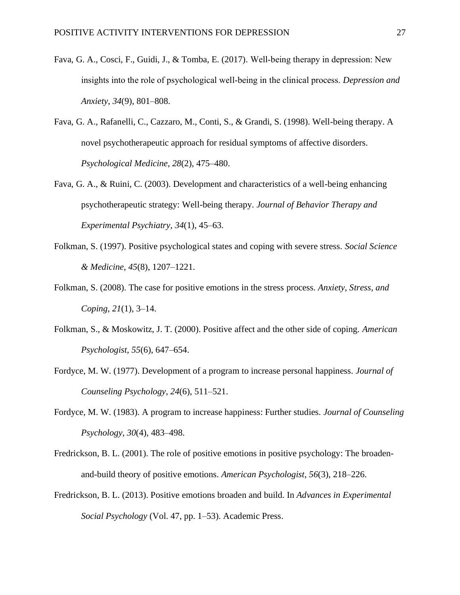- Fava, G. A., Cosci, F., Guidi, J., & Tomba, E. (2017). Well‐being therapy in depression: New insights into the role of psychological well‐being in the clinical process. *Depression and Anxiety*, *34*(9), 801–808.
- Fava, G. A., Rafanelli, C., Cazzaro, M., Conti, S., & Grandi, S. (1998). Well-being therapy. A novel psychotherapeutic approach for residual symptoms of affective disorders. *Psychological Medicine*, *28*(2), 475–480.
- Fava, G. A., & Ruini, C. (2003). Development and characteristics of a well-being enhancing psychotherapeutic strategy: Well-being therapy. *Journal of Behavior Therapy and Experimental Psychiatry*, *34*(1), 45–63.
- Folkman, S. (1997). Positive psychological states and coping with severe stress. *Social Science & Medicine*, *45*(8), 1207–1221.
- Folkman, S. (2008). The case for positive emotions in the stress process. *Anxiety, Stress, and Coping*, *21*(1), 3–14.
- Folkman, S., & Moskowitz, J. T. (2000). Positive affect and the other side of coping. *American Psychologist*, *55*(6), 647–654.
- Fordyce, M. W. (1977). Development of a program to increase personal happiness. *Journal of Counseling Psychology*, *24*(6), 511–521.
- Fordyce, M. W. (1983). A program to increase happiness: Further studies. *Journal of Counseling Psychology*, *30*(4), 483–498.
- Fredrickson, B. L. (2001). The role of positive emotions in positive psychology: The broadenand-build theory of positive emotions. *American Psychologist*, *56*(3), 218–226.
- Fredrickson, B. L. (2013). Positive emotions broaden and build. In *Advances in Experimental Social Psychology* (Vol. 47, pp. 1–53). Academic Press.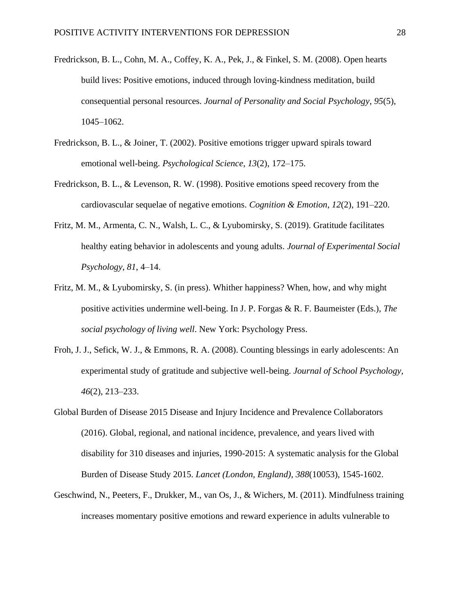- Fredrickson, B. L., Cohn, M. A., Coffey, K. A., Pek, J., & Finkel, S. M. (2008). Open hearts build lives: Positive emotions, induced through loving-kindness meditation, build consequential personal resources. *Journal of Personality and Social Psychology*, *95*(5), 1045–1062.
- Fredrickson, B. L., & Joiner, T. (2002). Positive emotions trigger upward spirals toward emotional well-being. *Psychological Science*, *13*(2), 172–175.
- Fredrickson, B. L., & Levenson, R. W. (1998). Positive emotions speed recovery from the cardiovascular sequelae of negative emotions. *Cognition & Emotion*, *12*(2), 191–220.
- Fritz, M. M., Armenta, C. N., Walsh, L. C., & Lyubomirsky, S. (2019). Gratitude facilitates healthy eating behavior in adolescents and young adults. *Journal of Experimental Social Psychology*, *81*, 4–14.
- Fritz, M. M., & Lyubomirsky, S. (in press). Whither happiness? When, how, and why might positive activities undermine well-being. In J. P. Forgas & R. F. Baumeister (Eds.), *The social psychology of living well*. New York: Psychology Press.
- Froh, J. J., Sefick, W. J., & Emmons, R. A. (2008). Counting blessings in early adolescents: An experimental study of gratitude and subjective well-being. *Journal of School Psychology*, *46*(2), 213–233.
- Global Burden of Disease 2015 Disease and Injury Incidence and Prevalence Collaborators (2016). Global, regional, and national incidence, prevalence, and years lived with disability for 310 diseases and injuries, 1990-2015: A systematic analysis for the Global Burden of Disease Study 2015. *Lancet (London, England)*, *388*(10053), 1545-1602.
- Geschwind, N., Peeters, F., Drukker, M., van Os, J., & Wichers, M. (2011). Mindfulness training increases momentary positive emotions and reward experience in adults vulnerable to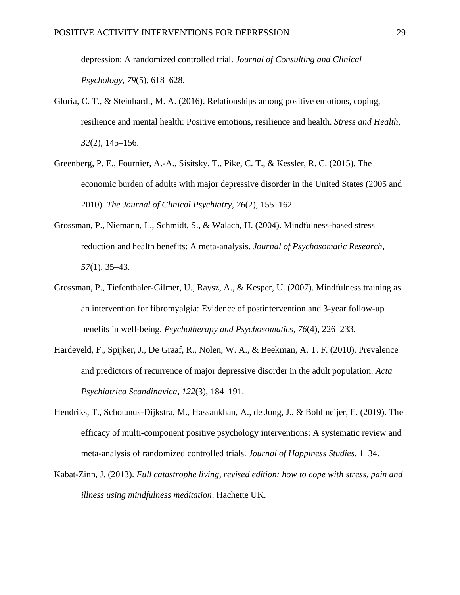depression: A randomized controlled trial. *Journal of Consulting and Clinical Psychology*, *79*(5), 618–628.

- Gloria, C. T., & Steinhardt, M. A. (2016). Relationships among positive emotions, coping, resilience and mental health: Positive emotions, resilience and health. *Stress and Health*, *32*(2), 145–156.
- Greenberg, P. E., Fournier, A.-A., Sisitsky, T., Pike, C. T., & Kessler, R. C. (2015). The economic burden of adults with major depressive disorder in the United States (2005 and 2010). *The Journal of Clinical Psychiatry*, *76*(2), 155–162.
- Grossman, P., Niemann, L., Schmidt, S., & Walach, H. (2004). Mindfulness-based stress reduction and health benefits: A meta-analysis. *Journal of Psychosomatic Research*, *57*(1), 35–43.
- Grossman, P., Tiefenthaler-Gilmer, U., Raysz, A., & Kesper, U. (2007). Mindfulness training as an intervention for fibromyalgia: Evidence of postintervention and 3-year follow-up benefits in well-being. *Psychotherapy and Psychosomatics*, *76*(4), 226–233.
- Hardeveld, F., Spijker, J., De Graaf, R., Nolen, W. A., & Beekman, A. T. F. (2010). Prevalence and predictors of recurrence of major depressive disorder in the adult population. *Acta Psychiatrica Scandinavica*, *122*(3), 184–191.
- Hendriks, T., Schotanus-Dijkstra, M., Hassankhan, A., de Jong, J., & Bohlmeijer, E. (2019). The efficacy of multi-component positive psychology interventions: A systematic review and meta-analysis of randomized controlled trials. *Journal of Happiness Studies*, 1–34.
- Kabat-Zinn, J. (2013). *Full catastrophe living, revised edition: how to cope with stress, pain and illness using mindfulness meditation*. Hachette UK.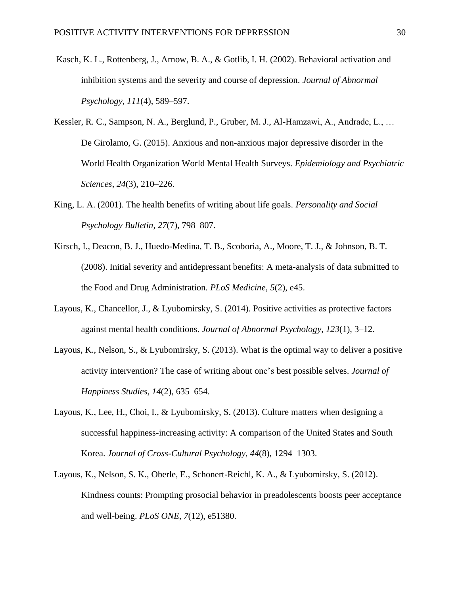- Kasch, K. L., Rottenberg, J., Arnow, B. A., & Gotlib, I. H. (2002). Behavioral activation and inhibition systems and the severity and course of depression. *Journal of Abnormal Psychology*, *111*(4), 589–597.
- Kessler, R. C., Sampson, N. A., Berglund, P., Gruber, M. J., Al-Hamzawi, A., Andrade, L., … De Girolamo, G. (2015). Anxious and non-anxious major depressive disorder in the World Health Organization World Mental Health Surveys. *Epidemiology and Psychiatric Sciences*, *24*(3), 210–226.
- King, L. A. (2001). The health benefits of writing about life goals. *Personality and Social Psychology Bulletin*, *27*(7), 798–807.
- Kirsch, I., Deacon, B. J., Huedo-Medina, T. B., Scoboria, A., Moore, T. J., & Johnson, B. T. (2008). Initial severity and antidepressant benefits: A meta-analysis of data submitted to the Food and Drug Administration. *PLoS Medicine*, *5*(2), e45.
- Layous, K., Chancellor, J., & Lyubomirsky, S. (2014). Positive activities as protective factors against mental health conditions. *Journal of Abnormal Psychology*, *123*(1), 3–12.
- Layous, K., Nelson, S., & Lyubomirsky, S. (2013). What is the optimal way to deliver a positive activity intervention? The case of writing about one's best possible selves. *Journal of Happiness Studies*, *14*(2), 635–654.
- Layous, K., Lee, H., Choi, I., & Lyubomirsky, S. (2013). Culture matters when designing a successful happiness-increasing activity: A comparison of the United States and South Korea. *Journal of Cross-Cultural Psychology*, *44*(8), 1294–1303.
- Layous, K., Nelson, S. K., Oberle, E., Schonert-Reichl, K. A., & Lyubomirsky, S. (2012). Kindness counts: Prompting prosocial behavior in preadolescents boosts peer acceptance and well-being. *PLoS ONE*, *7*(12), e51380.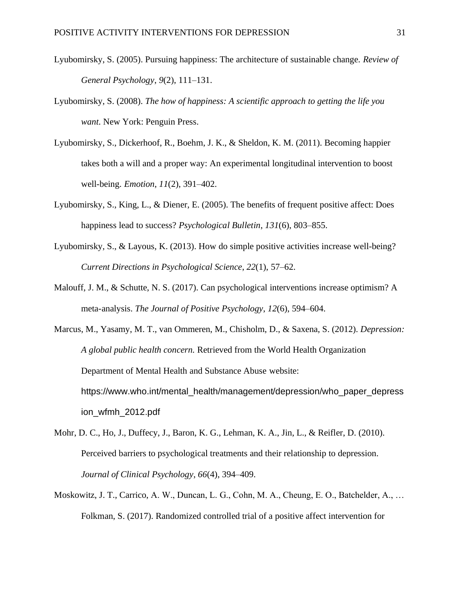- Lyubomirsky, S. (2005). Pursuing happiness: The architecture of sustainable change. *Review of General Psychology*, *9*(2), 111–131.
- Lyubomirsky, S. (2008). *The how of happiness: A scientific approach to getting the life you want*. New York: Penguin Press.
- Lyubomirsky, S., Dickerhoof, R., Boehm, J. K., & Sheldon, K. M. (2011). Becoming happier takes both a will and a proper way: An experimental longitudinal intervention to boost well-being. *Emotion*, *11*(2), 391–402.
- Lyubomirsky, S., King, L., & Diener, E. (2005). The benefits of frequent positive affect: Does happiness lead to success? *Psychological Bulletin*, *131*(6), 803–855.
- Lyubomirsky, S., & Layous, K. (2013). How do simple positive activities increase well-being? *Current Directions in Psychological Science*, *22*(1), 57–62.
- Malouff, J. M., & Schutte, N. S. (2017). Can psychological interventions increase optimism? A meta-analysis. *The Journal of Positive Psychology*, *12*(6), 594–604.
- Marcus, M., Yasamy, M. T., van Ommeren, M., Chisholm, D., & Saxena, S. (2012). *Depression: A global public health concern.* Retrieved from the World Health Organization Department of Mental Health and Substance Abuse website: https://www.who.int/mental\_health/management/depression/who\_paper\_depress ion\_wfmh\_2012.pdf
- Mohr, D. C., Ho, J., Duffecy, J., Baron, K. G., Lehman, K. A., Jin, L., & Reifler, D. (2010). Perceived barriers to psychological treatments and their relationship to depression. *Journal of Clinical Psychology*, *66*(4), 394–409.
- Moskowitz, J. T., Carrico, A. W., Duncan, L. G., Cohn, M. A., Cheung, E. O., Batchelder, A., … Folkman, S. (2017). Randomized controlled trial of a positive affect intervention for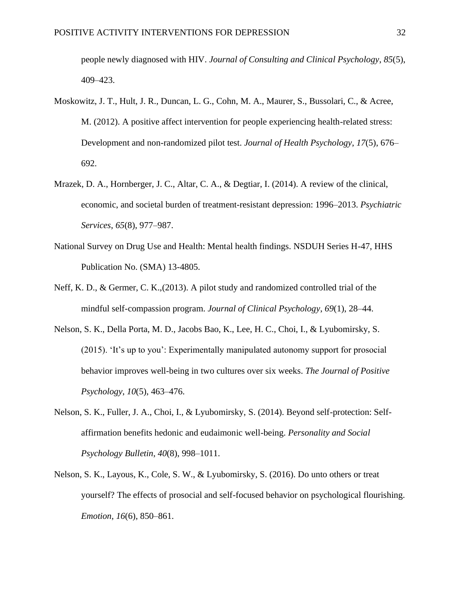people newly diagnosed with HIV. *Journal of Consulting and Clinical Psychology*, *85*(5), 409–423.

- Moskowitz, J. T., Hult, J. R., Duncan, L. G., Cohn, M. A., Maurer, S., Bussolari, C., & Acree, M. (2012). A positive affect intervention for people experiencing health-related stress: Development and non-randomized pilot test. *Journal of Health Psychology*, *17*(5), 676– 692.
- Mrazek, D. A., Hornberger, J. C., Altar, C. A., & Degtiar, I. (2014). A review of the clinical, economic, and societal burden of treatment-resistant depression: 1996–2013. *Psychiatric Services*, *65*(8), 977–987.
- National Survey on Drug Use and Health: Mental health findings. NSDUH Series H-47, HHS Publication No. (SMA) 13-4805.
- Neff, K. D., & Germer, C. K.,(2013). A pilot study and randomized controlled trial of the mindful self-compassion program. *Journal of Clinical Psychology*, *69*(1), 28–44.
- Nelson, S. K., Della Porta, M. D., Jacobs Bao, K., Lee, H. C., Choi, I., & Lyubomirsky, S. (2015). 'It's up to you': Experimentally manipulated autonomy support for prosocial behavior improves well-being in two cultures over six weeks. *The Journal of Positive Psychology*, *10*(5), 463–476.
- Nelson, S. K., Fuller, J. A., Choi, I., & Lyubomirsky, S. (2014). Beyond self-protection: Selfaffirmation benefits hedonic and eudaimonic well-being. *Personality and Social Psychology Bulletin*, *40*(8), 998–1011.
- Nelson, S. K., Layous, K., Cole, S. W., & Lyubomirsky, S. (2016). Do unto others or treat yourself? The effects of prosocial and self-focused behavior on psychological flourishing. *Emotion*, *16*(6), 850–861.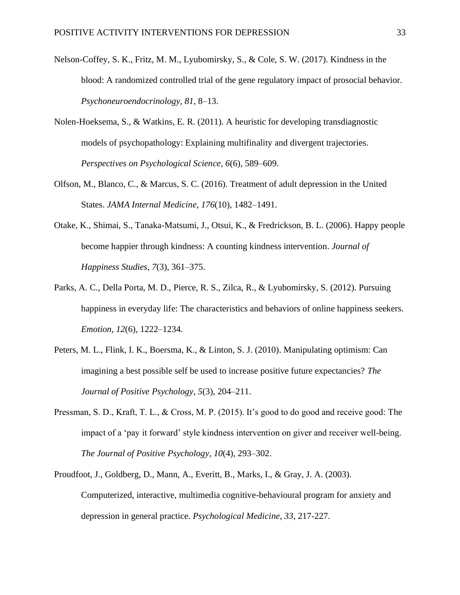- Nelson-Coffey, S. K., Fritz, M. M., Lyubomirsky, S., & Cole, S. W. (2017). Kindness in the blood: A randomized controlled trial of the gene regulatory impact of prosocial behavior. *Psychoneuroendocrinology*, *81*, 8–13.
- Nolen-Hoeksema, S., & Watkins, E. R. (2011). A heuristic for developing transdiagnostic models of psychopathology: Explaining multifinality and divergent trajectories. *Perspectives on Psychological Science*, *6*(6), 589–609.
- Olfson, M., Blanco, C., & Marcus, S. C. (2016). Treatment of adult depression in the United States. *JAMA Internal Medicine*, *176*(10), 1482–1491.
- Otake, K., Shimai, S., Tanaka-Matsumi, J., Otsui, K., & Fredrickson, B. L. (2006). Happy people become happier through kindness: A counting kindness intervention. *Journal of Happiness Studies*, *7*(3), 361–375.
- Parks, A. C., Della Porta, M. D., Pierce, R. S., Zilca, R., & Lyubomirsky, S. (2012). Pursuing happiness in everyday life: The characteristics and behaviors of online happiness seekers. *Emotion*, *12*(6), 1222–1234.
- Peters, M. L., Flink, I. K., Boersma, K., & Linton, S. J. (2010). Manipulating optimism: Can imagining a best possible self be used to increase positive future expectancies? *The Journal of Positive Psychology*, *5*(3), 204–211.
- Pressman, S. D., Kraft, T. L., & Cross, M. P. (2015). It's good to do good and receive good: The impact of a 'pay it forward' style kindness intervention on giver and receiver well-being. *The Journal of Positive Psychology*, *10*(4), 293–302.
- Proudfoot, J., Goldberg, D., Mann, A., Everitt, B., Marks, I., & Gray, J. A. (2003). Computerized, interactive, multimedia cognitive-behavioural program for anxiety and depression in general practice. *Psychological Medicine, 33*, 217-227.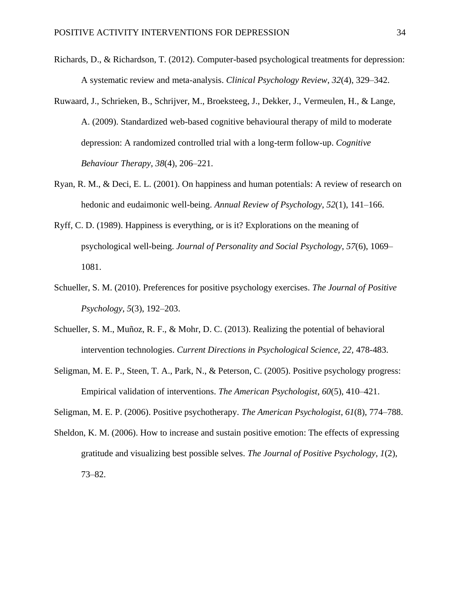- Richards, D., & Richardson, T. (2012). Computer-based psychological treatments for depression: A systematic review and meta-analysis. *Clinical Psychology Review*, *32*(4), 329–342.
- Ruwaard, J., Schrieken, B., Schrijver, M., Broeksteeg, J., Dekker, J., Vermeulen, H., & Lange, A. (2009). Standardized web-based cognitive behavioural therapy of mild to moderate depression: A randomized controlled trial with a long-term follow-up. *Cognitive Behaviour Therapy*, *38*(4), 206–221.
- Ryan, R. M., & Deci, E. L. (2001). On happiness and human potentials: A review of research on hedonic and eudaimonic well-being. *Annual Review of Psychology*, *52*(1), 141–166.
- Ryff, C. D. (1989). Happiness is everything, or is it? Explorations on the meaning of psychological well-being. *Journal of Personality and Social Psychology*, *57*(6), 1069– 1081.
- Schueller, S. M. (2010). Preferences for positive psychology exercises. *The Journal of Positive Psychology*, *5*(3), 192–203.
- Schueller, S. M., Muñoz, R. F., & Mohr, D. C. (2013). Realizing the potential of behavioral intervention technologies. *Current Directions in Psychological Science, 22,* 478-483.
- Seligman, M. E. P., Steen, T. A., Park, N., & Peterson, C. (2005). Positive psychology progress: Empirical validation of interventions. *The American Psychologist*, *60*(5), 410–421.

Seligman, M. E. P. (2006). Positive psychotherapy. *The American Psychologist*, *61*(8), 774–788.

Sheldon, K. M. (2006). How to increase and sustain positive emotion: The effects of expressing gratitude and visualizing best possible selves. *The Journal of Positive Psychology*, *1*(2), 73–82.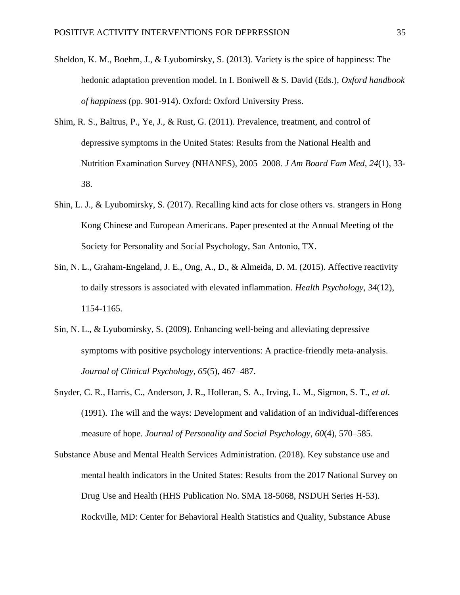- Sheldon, K. M., Boehm, J., & Lyubomirsky, S. (2013). Variety is the spice of happiness: The hedonic adaptation prevention model. In I. Boniwell & S. David (Eds.), *Oxford handbook of happiness* (pp. 901-914). Oxford: Oxford University Press.
- Shim, R. S., Baltrus, P., Ye, J., & Rust, G. (2011). Prevalence, treatment, and control of depressive symptoms in the United States: Results from the National Health and Nutrition Examination Survey (NHANES), 2005–2008. *J Am Board Fam Med*, *24*(1), 33- 38.
- Shin, L. J., & Lyubomirsky, S. (2017). Recalling kind acts for close others vs. strangers in Hong Kong Chinese and European Americans. Paper presented at the Annual Meeting of the Society for Personality and Social Psychology, San Antonio, TX.
- Sin, N. L., Graham-Engeland, J. E., Ong, A., D., & Almeida, D. M. (2015). Affective reactivity to daily stressors is associated with elevated inflammation. *Health Psychology, 34*(12), 1154-1165.
- Sin, N. L., & Lyubomirsky, S. (2009). Enhancing well‐being and alleviating depressive symptoms with positive psychology interventions: A practice-friendly meta-analysis. *Journal of Clinical Psychology*, *65*(5), 467–487.
- Snyder, C. R., Harris, C., Anderson, J. R., Holleran, S. A., Irving, L. M., Sigmon, S. T., *et al*. (1991). The will and the ways: Development and validation of an individual-differences measure of hope. *Journal of Personality and Social Psychology*, *60*(4), 570–585.
- Substance Abuse and Mental Health Services Administration. (2018). Key substance use and mental health indicators in the United States: Results from the 2017 National Survey on Drug Use and Health (HHS Publication No. SMA 18-5068, NSDUH Series H-53). Rockville, MD: Center for Behavioral Health Statistics and Quality, Substance Abuse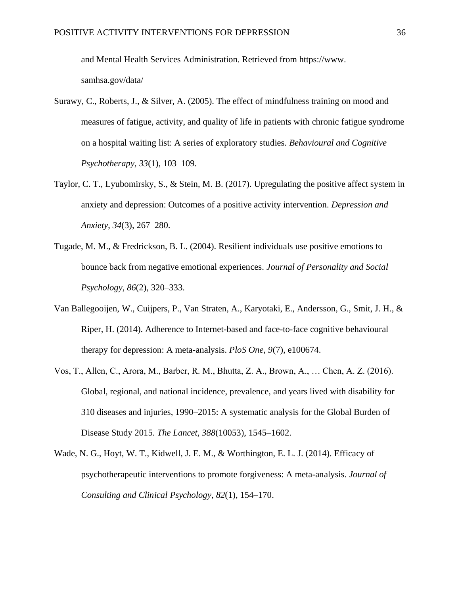and Mental Health Services Administration. Retrieved from https://www. samhsa.gov/data/

- Surawy, C., Roberts, J., & Silver, A. (2005). The effect of mindfulness training on mood and measures of fatigue, activity, and quality of life in patients with chronic fatigue syndrome on a hospital waiting list: A series of exploratory studies. *Behavioural and Cognitive Psychotherapy*, *33*(1), 103–109.
- Taylor, C. T., Lyubomirsky, S., & Stein, M. B. (2017). Upregulating the positive affect system in anxiety and depression: Outcomes of a positive activity intervention. *Depression and Anxiety*, *34*(3), 267–280.
- Tugade, M. M., & Fredrickson, B. L. (2004). Resilient individuals use positive emotions to bounce back from negative emotional experiences. *Journal of Personality and Social Psychology*, *86*(2), 320–333.
- Van Ballegooijen, W., Cuijpers, P., Van Straten, A., Karyotaki, E., Andersson, G., Smit, J. H., & Riper, H. (2014). Adherence to Internet-based and face-to-face cognitive behavioural therapy for depression: A meta-analysis. *PloS One*, *9*(7), e100674.
- Vos, T., Allen, C., Arora, M., Barber, R. M., Bhutta, Z. A., Brown, A., … Chen, A. Z. (2016). Global, regional, and national incidence, prevalence, and years lived with disability for 310 diseases and injuries, 1990–2015: A systematic analysis for the Global Burden of Disease Study 2015. *The Lancet*, *388*(10053), 1545–1602.
- Wade, N. G., Hoyt, W. T., Kidwell, J. E. M., & Worthington, E. L. J. (2014). Efficacy of psychotherapeutic interventions to promote forgiveness: A meta-analysis. *Journal of Consulting and Clinical Psychology*, *82*(1), 154–170.